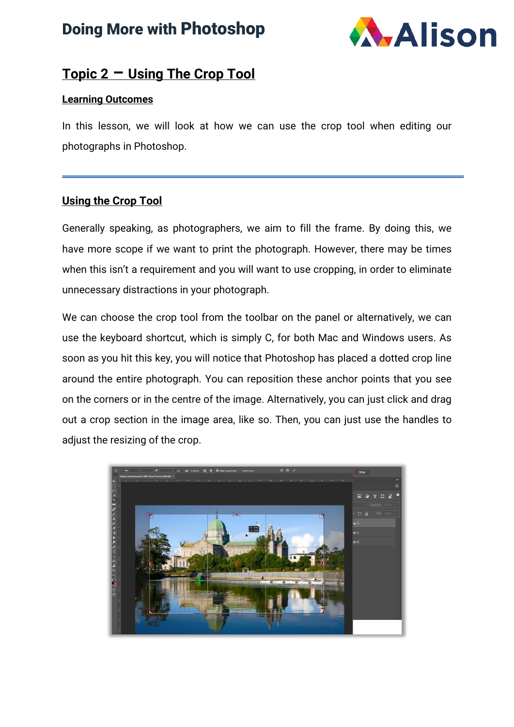## Doing More with Photoshop



#### **Topic 2 – Using The Crop Tool**

#### **Learning Outcomes**

In this lesson, we will look at how we can use the crop tool when editing our photographs in Photoshop.

#### **Using the Crop Tool**

Generally speaking, as photographers, we aim to fill the frame. By doing this, we have more scope if we want to print the photograph. However, there may be times when this isn't a requirement and you will want to use cropping, in order to eliminate unnecessary distractions in your photograph.

We can choose the crop tool from the toolbar on the panel or alternatively, we can use the keyboard shortcut, which is simply C, for both Mac and Windows users. As soon as you hit this key, you will notice that Photoshop has placed a dotted crop line around the entire photograph. You can reposition these anchor points that you see on the corners or in the centre of the image. Alternatively, you can just click and drag out a crop section in the image area, like so. Then, you can just use the handles to adjust the resizing of the crop.

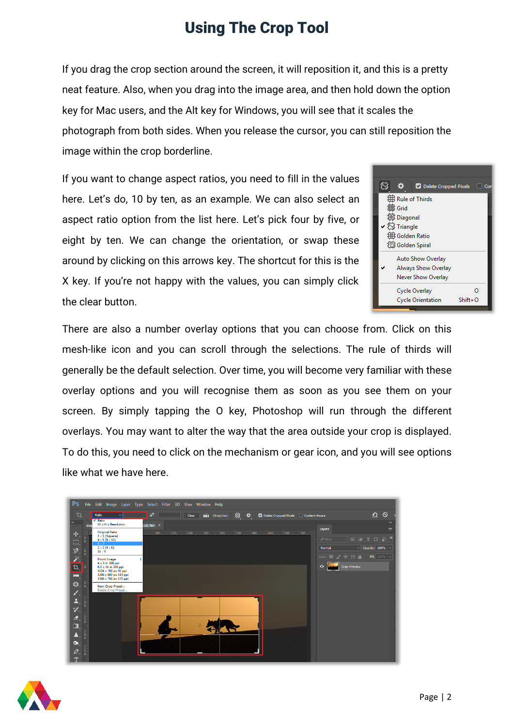If you drag the crop section around the screen, it will reposition it, and this is a pretty neat feature. Also, when you drag into the image area, and then hold down the option key for Mac users, and the Alt key for Windows, you will see that it scales the photograph from both sides. When you release the cursor, you can still reposition the image within the crop borderline.

If you want to change aspect ratios, you need to fill in the values here. Let's do, 10 by ten, as an example. We can also select an aspect ratio option from the list here. Let's pick four by five, or eight by ten. We can change the orientation, or swap these around by clicking on this arrows key. The shortcut for this is the X key. If you're not happy with the values, you can simply click the clear button.



There are also a number overlay options that you can choose from. Click on this mesh-like icon and you can scroll through the selections. The rule of thirds will generally be the default selection. Over time, you will become very familiar with these overlay options and you will recognise them as soon as you see them on your screen. By simply tapping the O key, Photoshop will run through the different overlays. You may want to alter the way that the area outside your crop is displayed. To do this, you need to click on the mechanism or gear icon, and you will see options like what we have here.

| <b>Ps</b>                                                                  | File Edit Image Layer Type Select Filter 3D View Window Help                                                                                                                                                                   |
|----------------------------------------------------------------------------|--------------------------------------------------------------------------------------------------------------------------------------------------------------------------------------------------------------------------------|
| Ū.<br>Ratio<br>$\vee$                                                      | $\circ$<br>≏<br>₹<br>121 Straighten<br>典<br>Clear<br>❖<br>Delete Cropped Pixels Content-Aware                                                                                                                                  |
| $\times$ Ratio<br>$\rightarrow$<br>$W \times H \times$ Resolution<br>dod   | $\rightarrow$<br>GB/8#)<br>$\equiv$<br>Layers                                                                                                                                                                                  |
| Original Ratio<br>$\ddotplus$<br>$1:1$ (Square)<br>4:5(8:10)<br>83,<br>5:7 | 100<br>150.<br>200 <sub>1</sub><br>400.<br> 500 <br>250<br>300 <sub>1</sub><br>350<br>450<br>. 550.<br>o<br>$\mathcal{P}$ Kind<br>$\boxed{\underline{\underline{\qquad \qquad }}$<br>$\blacksquare$<br>$\Box$<br>$\Omega$<br>T |
| 2:3(4:6)<br>≫.<br>16:9                                                     | $\vee$ Opacity: 100% $\ \vee\ $<br>Normal                                                                                                                                                                                      |
| ÿ.<br>Front Image<br>$4 \times 5$ in 300 ppi                               | Lock: 图 / 中口 自<br>Fill: $100\%$ $\vee$                                                                                                                                                                                         |
| $\overline{u}$<br>8.5 x 11 in 300 ppi<br>1024 x 768 px 92 ppi              | Crop Preview<br>$\bullet$                                                                                                                                                                                                      |
| mm.<br>1280 x 800 px 113 ppi<br>1366 x 768 px 135 ppi                      |                                                                                                                                                                                                                                |
| € . 5<br>New Crop Preset<br>Delete Crop Preset<br>¥.                       |                                                                                                                                                                                                                                |
| ≛.                                                                         |                                                                                                                                                                                                                                |
| ø.                                                                         |                                                                                                                                                                                                                                |
| $\hat{\mathbf{z}}$                                                         |                                                                                                                                                                                                                                |
| О,                                                                         |                                                                                                                                                                                                                                |
| $\circ$<br><br>$\sqrt{2}$                                                  |                                                                                                                                                                                                                                |
| $\bullet$                                                                  |                                                                                                                                                                                                                                |
| $\varnothing$ .<br>$^{\mathrm{T}}$                                         |                                                                                                                                                                                                                                |

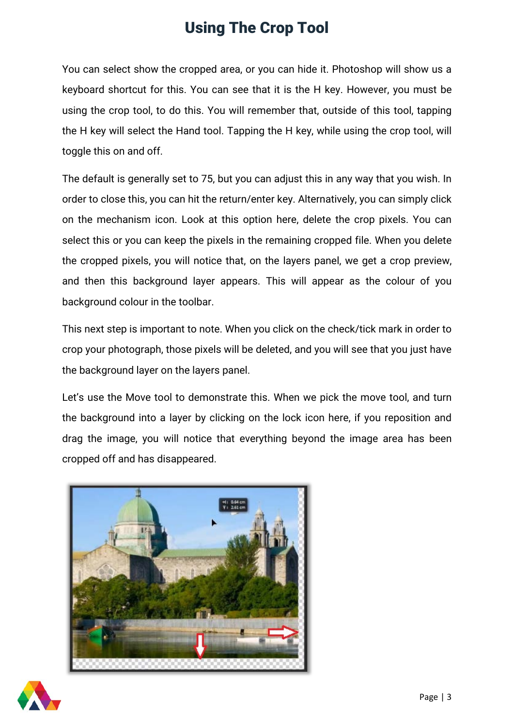You can select show the cropped area, or you can hide it. Photoshop will show us a keyboard shortcut for this. You can see that it is the H key. However, you must be using the crop tool, to do this. You will remember that, outside of this tool, tapping the H key will select the Hand tool. Tapping the H key, while using the crop tool, will toggle this on and off.

The default is generally set to 75, but you can adjust this in any way that you wish. In order to close this, you can hit the return/enter key. Alternatively, you can simply click on the mechanism icon. Look at this option here, delete the crop pixels. You can select this or you can keep the pixels in the remaining cropped file. When you delete the cropped pixels, you will notice that, on the layers panel, we get a crop preview, and then this background layer appears. This will appear as the colour of you background colour in the toolbar.

This next step is important to note. When you click on the check/tick mark in order to crop your photograph, those pixels will be deleted, and you will see that you just have the background layer on the layers panel.

Let's use the Move tool to demonstrate this. When we pick the move tool, and turn the background into a layer by clicking on the lock icon here, if you reposition and drag the image, you will notice that everything beyond the image area has been cropped off and has disappeared.



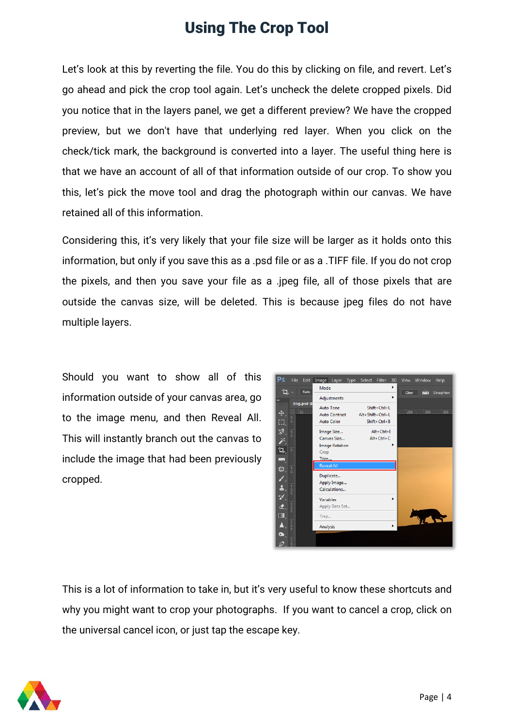Let's look at this by reverting the file. You do this by clicking on file, and revert. Let's go ahead and pick the crop tool again. Let's uncheck the delete cropped pixels. Did you notice that in the layers panel, we get a different preview? We have the cropped preview, but we don't have that underlying red layer. When you click on the check/tick mark, the background is converted into a layer. The useful thing here is that we have an account of all of that information outside of our crop. To show you this, let's pick the move tool and drag the photograph within our canvas. We have retained all of this information.

Considering this, it's very likely that your file size will be larger as it holds onto this information, but only if you save this as a .psd file or as a .TIFF file. If you do not crop the pixels, and then you save your file as a .jpeg file, all of those pixels that are outside the canvas size, will be deleted. This is because jpeg files do not have multiple layers.

Should you want to show all of this information outside of your canvas area, go to the image menu, and then Reveal All. This will instantly branch out the canvas to include the image that had been previously cropped.



This is a lot of information to take in, but it's very useful to know these shortcuts and why you might want to crop your photographs. If you want to cancel a crop, click on the universal cancel icon, or just tap the escape key.